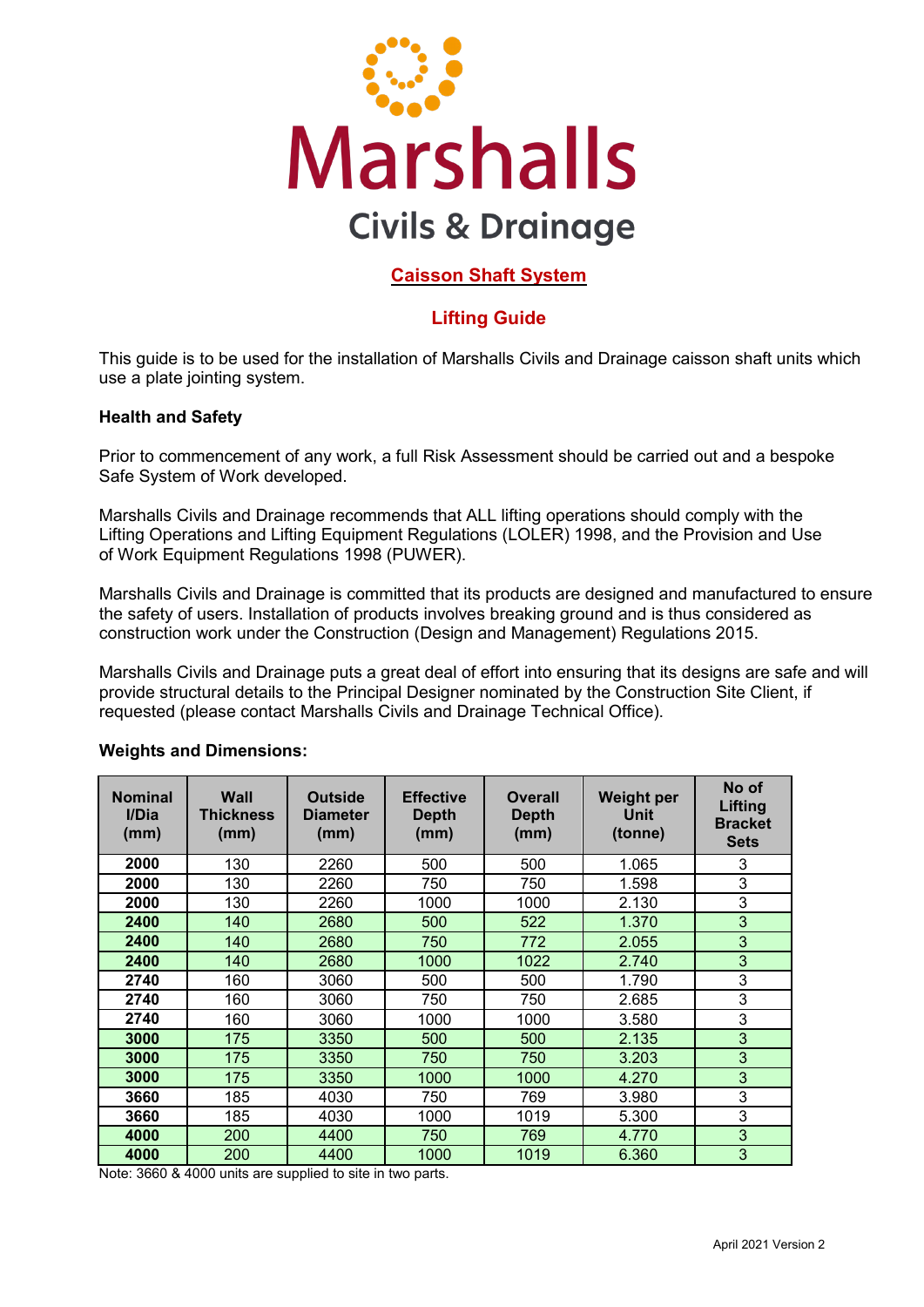

# **Caisson Shaft System**

# **Lifting Guide**

This guide is to be used for the installation of Marshalls Civils and Drainage caisson shaft units which use a plate jointing system.

#### **Health and Safety**

Prior to commencement of any work, a full Risk Assessment should be carried out and a bespoke Safe System of Work developed.

Marshalls Civils and Drainage recommends that ALL lifting operations should comply with the Lifting Operations and Lifting Equipment Regulations (LOLER) 1998, and the Provision and Use of Work Equipment Regulations 1998 (PUWER).

Marshalls Civils and Drainage is committed that its products are designed and manufactured to ensure the safety of users. Installation of products involves breaking ground and is thus considered as construction work under the Construction (Design and Management) Regulations 2015.

Marshalls Civils and Drainage puts a great deal of effort into ensuring that its designs are safe and will provide structural details to the Principal Designer nominated by the Construction Site Client, if requested (please contact Marshalls Civils and Drainage Technical Office).

| <b>Nominal</b><br>I/Dia<br>(mm) | Wall<br><b>Thickness</b><br>(mm) | <b>Outside</b><br>Diameter<br>(mm) | <b>Effective</b><br><b>Depth</b><br>(mm) | <b>Overall</b><br>Depth<br>(mm) | <b>Weight per</b><br>Unit<br>(tonne) | No of<br>Lifting<br><b>Bracket</b><br><b>Sets</b> |
|---------------------------------|----------------------------------|------------------------------------|------------------------------------------|---------------------------------|--------------------------------------|---------------------------------------------------|
| 2000                            | 130                              | 2260                               | 500                                      | 500                             | 1.065                                | 3                                                 |
| 2000                            | 130                              | 2260                               | 750                                      | 750                             | 1.598                                | 3                                                 |
| 2000                            | 130                              | 2260                               | 1000                                     | 1000                            | 2.130                                | 3                                                 |
| 2400                            | 140                              | 2680                               | 500                                      | 522                             | 1.370                                | 3                                                 |
| 2400                            | 140                              | 2680                               | 750                                      | 772                             | 2.055                                | 3                                                 |
| 2400                            | 140                              | 2680                               | 1000                                     | 1022                            | 2.740                                | 3                                                 |
| 2740                            | 160                              | 3060                               | 500                                      | 500                             | 1.790                                | 3                                                 |
| 2740                            | 160                              | 3060                               | 750                                      | 750                             | 2.685                                | 3                                                 |
| 2740                            | 160                              | 3060                               | 1000                                     | 1000                            | 3.580                                | 3                                                 |
| 3000                            | 175                              | 3350                               | 500                                      | 500                             | 2.135                                | 3                                                 |
| 3000                            | 175                              | 3350                               | 750                                      | 750                             | 3.203                                | 3                                                 |
| 3000                            | 175                              | 3350                               | 1000                                     | 1000                            | 4.270                                | 3                                                 |
| 3660                            | 185                              | 4030                               | 750                                      | 769                             | 3.980                                | 3                                                 |
| 3660                            | 185                              | 4030                               | 1000                                     | 1019                            | 5.300                                | 3                                                 |
| 4000                            | 200                              | 4400                               | 750                                      | 769                             | 4.770                                | 3                                                 |
| 4000                            | 200                              | 4400                               | 1000                                     | 1019                            | 6.360                                | 3                                                 |

#### **Weights and Dimensions:**

Note: 3660 & 4000 units are supplied to site in two parts.